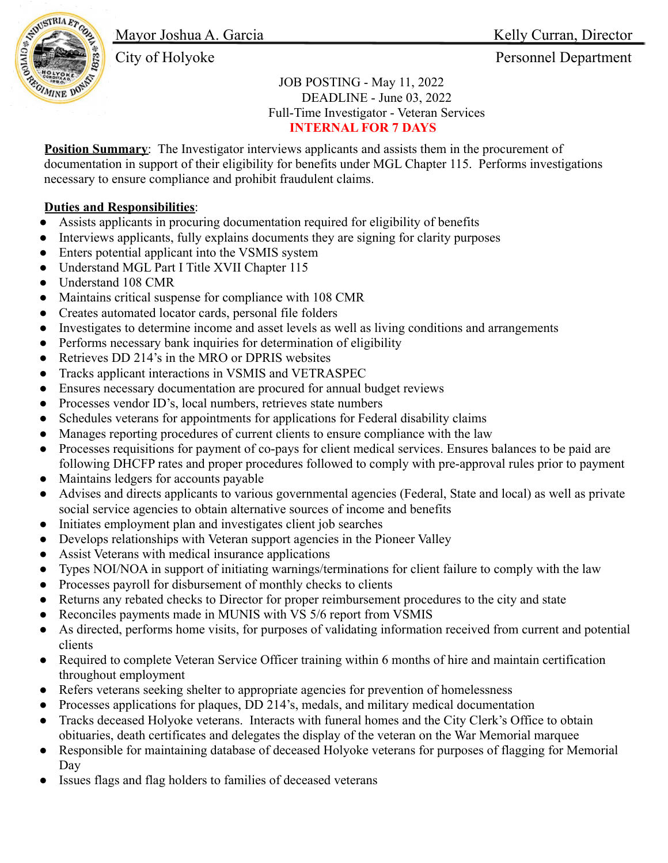Mayor Joshua A. Garcia Kelly Curran, Director



City of Holyoke Personnel Department

JOB POSTING - May 11, 2022 DEADLINE - June 03, 2022 Full-Time Investigator - Veteran Services **INTERNAL FOR 7 DAYS**

**Position Summary**: The Investigator interviews applicants and assists them in the procurement of documentation in support of their eligibility for benefits under MGL Chapter 115. Performs investigations necessary to ensure compliance and prohibit fraudulent claims.

## **Duties and Responsibilities**:

- Assists applicants in procuring documentation required for eligibility of benefits
- Interviews applicants, fully explains documents they are signing for clarity purposes
- Enters potential applicant into the VSMIS system
- Understand MGL Part I Title XVII Chapter 115
- Understand 108 CMR
- Maintains critical suspense for compliance with 108 CMR
- Creates automated locator cards, personal file folders
- Investigates to determine income and asset levels as well as living conditions and arrangements
- Performs necessary bank inquiries for determination of eligibility
- Retrieves DD 214's in the MRO or DPRIS websites
- Tracks applicant interactions in VSMIS and VETRASPEC
- Ensures necessary documentation are procured for annual budget reviews
- Processes vendor ID's, local numbers, retrieves state numbers
- Schedules veterans for appointments for applications for Federal disability claims
- Manages reporting procedures of current clients to ensure compliance with the law
- Processes requisitions for payment of co-pays for client medical services. Ensures balances to be paid are following DHCFP rates and proper procedures followed to comply with pre-approval rules prior to payment
- Maintains ledgers for accounts payable
- Advises and directs applicants to various governmental agencies (Federal, State and local) as well as private social service agencies to obtain alternative sources of income and benefits
- Initiates employment plan and investigates client job searches
- Develops relationships with Veteran support agencies in the Pioneer Valley
- Assist Veterans with medical insurance applications
- Types NOI/NOA in support of initiating warnings/terminations for client failure to comply with the law
- Processes payroll for disbursement of monthly checks to clients
- Returns any rebated checks to Director for proper reimbursement procedures to the city and state
- Reconciles payments made in MUNIS with VS 5/6 report from VSMIS
- As directed, performs home visits, for purposes of validating information received from current and potential clients
- Required to complete Veteran Service Officer training within 6 months of hire and maintain certification throughout employment
- Refers veterans seeking shelter to appropriate agencies for prevention of homelessness
- Processes applications for plaques, DD 214's, medals, and military medical documentation
- Tracks deceased Holyoke veterans. Interacts with funeral homes and the City Clerk's Office to obtain obituaries, death certificates and delegates the display of the veteran on the War Memorial marquee
- Responsible for maintaining database of deceased Holyoke veterans for purposes of flagging for Memorial Day
- Issues flags and flag holders to families of deceased veterans